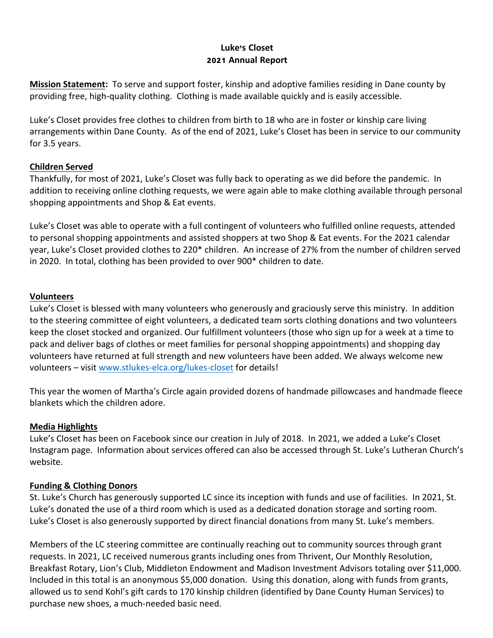# **Luke's Closet 2021 Annual Report**

**Mission Statement:** To serve and support foster, kinship and adoptive families residing in Dane county by providing free, high-quality clothing. Clothing is made available quickly and is easily accessible.

Luke's Closet provides free clothes to children from birth to 18 who are in foster or kinship care living arrangements within Dane County. As of the end of 2021, Luke's Closet has been in service to our community for 3.5 years.

## **Children Served**

Thankfully, for most of 2021, Luke's Closet was fully back to operating as we did before the pandemic. In addition to receiving online clothing requests, we were again able to make clothing available through personal shopping appointments and Shop & Eat events.

Luke's Closet was able to operate with a full contingent of volunteers who fulfilled online requests, attended to personal shopping appointments and assisted shoppers at two Shop & Eat events. For the 2021 calendar year, Luke's Closet provided clothes to 220\* children. An increase of 27% from the number of children served in 2020. In total, clothing has been provided to over 900\* children to date.

### **Volunteers**

Luke's Closet is blessed with many volunteers who generously and graciously serve this ministry. In addition to the steering committee of eight volunteers, a dedicated team sorts clothing donations and two volunteers keep the closet stocked and organized. Our fulfillment volunteers (those who sign up for a week at a time to pack and deliver bags of clothes or meet families for personal shopping appointments) and shopping day volunteers have returned at full strength and new volunteers have been added. We always welcome new volunteers – visit www.stlukes-elca.org/lukes-closet for details!

This year the women of Martha's Circle again provided dozens of handmade pillowcases and handmade fleece blankets which the children adore.

### **Media Highlights**

Luke's Closet has been on Facebook since our creation in July of 2018. In 2021, we added a Luke's Closet Instagram page. Information about services offered can also be accessed through St. Luke's Lutheran Church's website.

## **Funding & Clothing Donors**

St. Luke's Church has generously supported LC since its inception with funds and use of facilities. In 2021, St. Luke's donated the use of a third room which is used as a dedicated donation storage and sorting room. Luke's Closet is also generously supported by direct financial donations from many St. Luke's members.

Members of the LC steering committee are continually reaching out to community sources through grant requests. In 2021, LC received numerous grants including ones from Thrivent, Our Monthly Resolution, Breakfast Rotary, Lion's Club, Middleton Endowment and Madison Investment Advisors totaling over \$11,000. Included in this total is an anonymous \$5,000 donation. Using this donation, along with funds from grants, allowed us to send Kohl's gift cards to 170 kinship children (identified by Dane County Human Services) to purchase new shoes, a much-needed basic need.